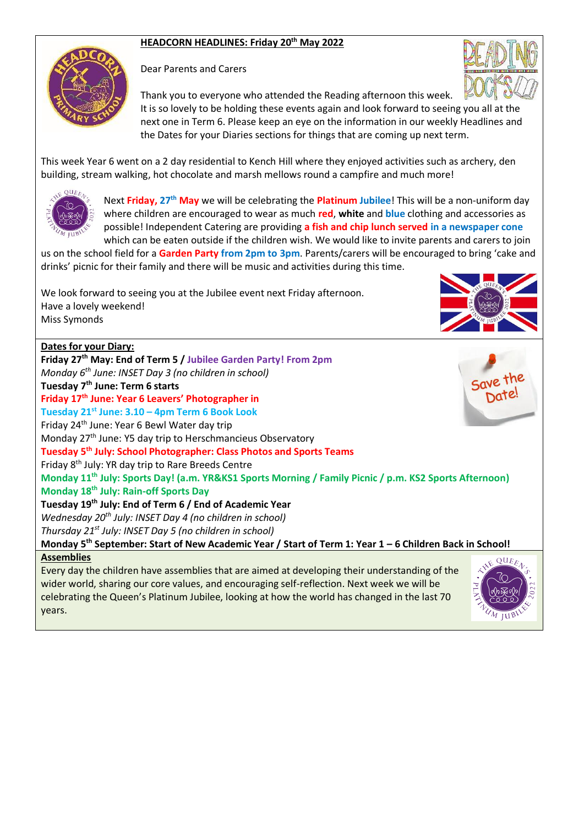### **HEADCORN HEADLINES: Friday 20th May 2022**



Dear Parents and Carers



Thank you to everyone who attended the Reading afternoon this week. It is so lovely to be holding these events again and look forward to seeing you all at the next one in Term 6. Please keep an eye on the information in our weekly Headlines and the Dates for your Diaries sections for things that are coming up next term.

This week Year 6 went on a 2 day residential to Kench Hill where they enjoyed activities such as archery, den building, stream walking, hot chocolate and marsh mellows round a campfire and much more!



Next **Friday, 27th May** we will be celebrating the **Platinum Jubilee**! This will be a non-uniform day where children are encouraged to wear as much **red**, **white** and **blue** clothing and accessories as possible! Independent Catering are providing **a fish and chip lunch served in a newspaper cone** which can be eaten outside if the children wish. We would like to invite parents and carers to join

us on the school field for a **Garden Party from 2pm to 3pm**. Parents/carers will be encouraged to bring 'cake and drinks' picnic for their family and there will be music and activities during this time.

We look forward to seeing you at the Jubilee event next Friday afternoon. Have a lovely weekend! Miss Symonds



#### **Assemblies**

Every day the children have assemblies that are aimed at developing their understanding of the wider world, sharing our core values, and encouraging self-reflection. Next week we will be celebrating the Queen's Platinum Jubilee, looking at how the world has changed in the last 70 years.

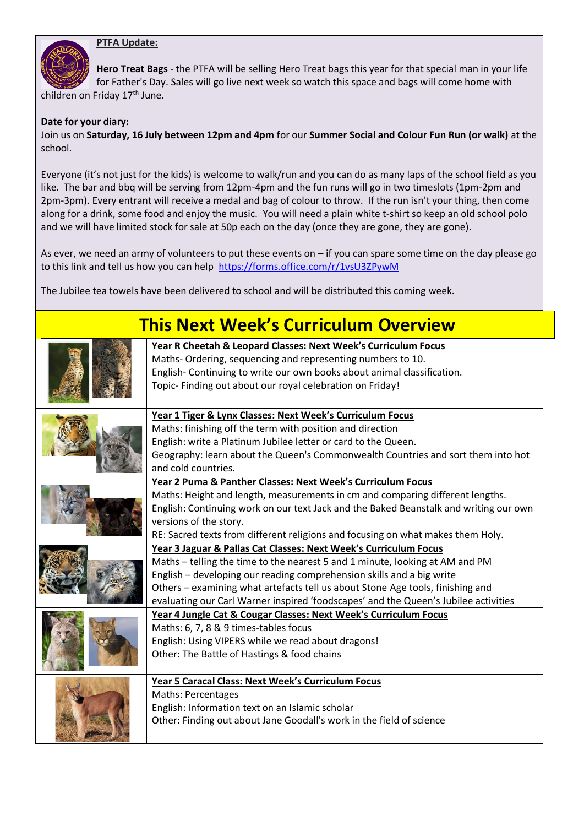

**Hero Treat Bags** - the PTFA will be selling Hero Treat bags this year for that special man in your life for Father's Day. Sales will go live next week so watch this space and bags will come home with children on Friday 17<sup>th</sup> June.

#### **Date for your diary:**

Join us on **Saturday, 16 July between 12pm and 4pm** for our **Summer Social and Colour Fun Run (or walk)** at the school.

Everyone (it's not just for the kids) is welcome to walk/run and you can do as many laps of the school field as you like. The bar and bbq will be serving from 12pm-4pm and the fun runs will go in two timeslots (1pm-2pm and 2pm-3pm). Every entrant will receive a medal and bag of colour to throw. If the run isn't your thing, then come along for a drink, some food and enjoy the music. You will need a plain white t-shirt so keep an old school polo and we will have limited stock for sale at 50p each on the day (once they are gone, they are gone).

As ever, we need an army of volunteers to put these events on – if you can spare some time on the day please go to this link and tell us how you can help <https://forms.office.com/r/1vsU3ZPywM>

The Jubilee tea towels have been delivered to school and will be distributed this coming week.

# **This Next Week's Curriculum Overview**

|  | Year R Cheetah & Leopard Classes: Next Week's Curriculum Focus                        |
|--|---------------------------------------------------------------------------------------|
|  | Maths-Ordering, sequencing and representing numbers to 10.                            |
|  | English- Continuing to write our own books about animal classification.               |
|  | Topic- Finding out about our royal celebration on Friday!                             |
|  |                                                                                       |
|  | Year 1 Tiger & Lynx Classes: Next Week's Curriculum Focus                             |
|  | Maths: finishing off the term with position and direction                             |
|  | English: write a Platinum Jubilee letter or card to the Queen.                        |
|  | Geography: learn about the Queen's Commonwealth Countries and sort them into hot      |
|  | and cold countries.                                                                   |
|  | Year 2 Puma & Panther Classes: Next Week's Curriculum Focus                           |
|  | Maths: Height and length, measurements in cm and comparing different lengths.         |
|  | English: Continuing work on our text Jack and the Baked Beanstalk and writing our own |
|  | versions of the story.                                                                |
|  | RE: Sacred texts from different religions and focusing on what makes them Holy.       |
|  | Year 3 Jaguar & Pallas Cat Classes: Next Week's Curriculum Focus                      |
|  | Maths - telling the time to the nearest 5 and 1 minute, looking at AM and PM          |
|  | English - developing our reading comprehension skills and a big write                 |
|  | Others - examining what artefacts tell us about Stone Age tools, finishing and        |
|  | evaluating our Carl Warner inspired 'foodscapes' and the Queen's Jubilee activities   |
|  | Year 4 Jungle Cat & Cougar Classes: Next Week's Curriculum Focus                      |
|  | Maths: 6, 7, 8 & 9 times-tables focus                                                 |
|  | English: Using VIPERS while we read about dragons!                                    |
|  | Other: The Battle of Hastings & food chains                                           |
|  |                                                                                       |
|  | Year 5 Caracal Class: Next Week's Curriculum Focus                                    |
|  | Maths: Percentages                                                                    |
|  | English: Information text on an Islamic scholar                                       |
|  | Other: Finding out about Jane Goodall's work in the field of science                  |
|  |                                                                                       |